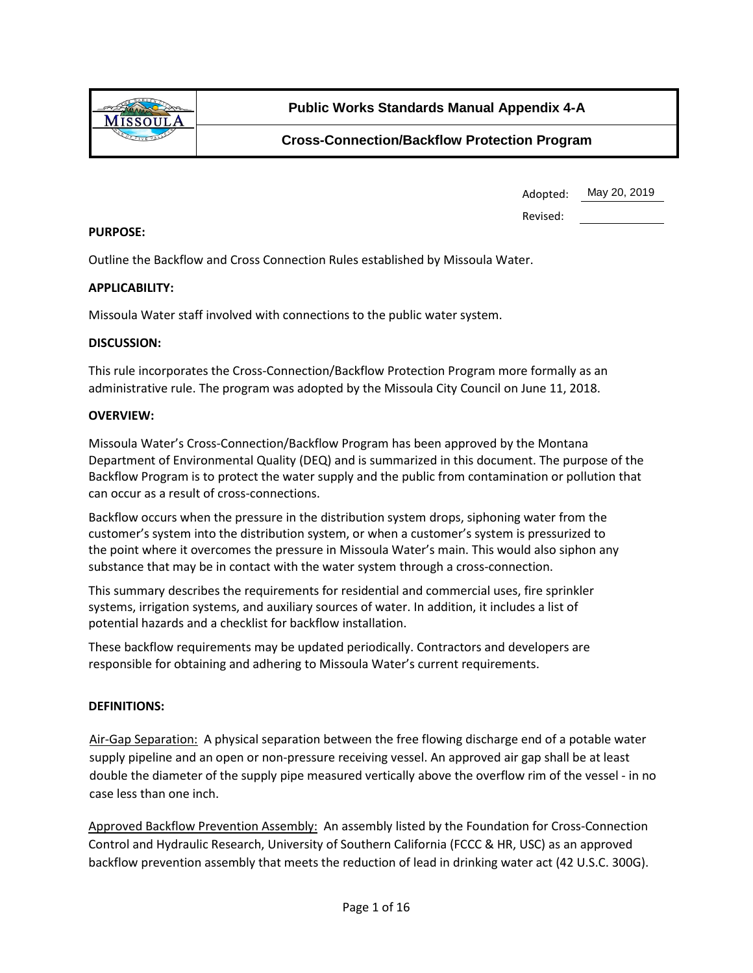

| Adopted: | May 20, 2019 |
|----------|--------------|
|----------|--------------|

Revised:

#### **PURPOSE:**

Outline the Backflow and Cross Connection Rules established by Missoula Water.

### **APPLICABILITY:**

Missoula Water staff involved with connections to the public water system.

#### **DISCUSSION:**

This rule incorporates the Cross-Connection/Backflow Protection Program more formally as an administrative rule. The program was adopted by the Missoula City Council on June 11, 2018.

#### **OVERVIEW:**

Missoula Water's Cross-Connection/Backflow Program has been approved by the Montana Department of Environmental Quality (DEQ) and is summarized in this document. The purpose of the Backflow Program is to protect the water supply and the public from contamination or pollution that can occur as a result of cross-connections.

Backflow occurs when the pressure in the distribution system drops, siphoning water from the customer's system into the distribution system, or when a customer's system is pressurized to the point where it overcomes the pressure in Missoula Water's main. This would also siphon any substance that may be in contact with the water system through a cross-connection.

This summary describes the requirements for residential and commercial uses, fire sprinkler systems, irrigation systems, and auxiliary sources of water. In addition, it includes a list of potential hazards and a checklist for backflow installation.

These backflow requirements may be updated periodically. Contractors and developers are responsible for obtaining and adhering to Missoula Water's current requirements.

### **DEFINITIONS:**

Air-Gap Separation: A physical separation between the free flowing discharge end of a potable water supply pipeline and an open or non-pressure receiving vessel. An approved air gap shall be at least double the diameter of the supply pipe measured vertically above the overflow rim of the vessel - in no case less than one inch.

Approved Backflow Prevention Assembly: An assembly listed by the Foundation for Cross-Connection Control and Hydraulic Research, University of Southern California (FCCC & HR, USC) as an approved backflow prevention assembly that meets the reduction of lead in drinking water act (42 U.S.C. 300G).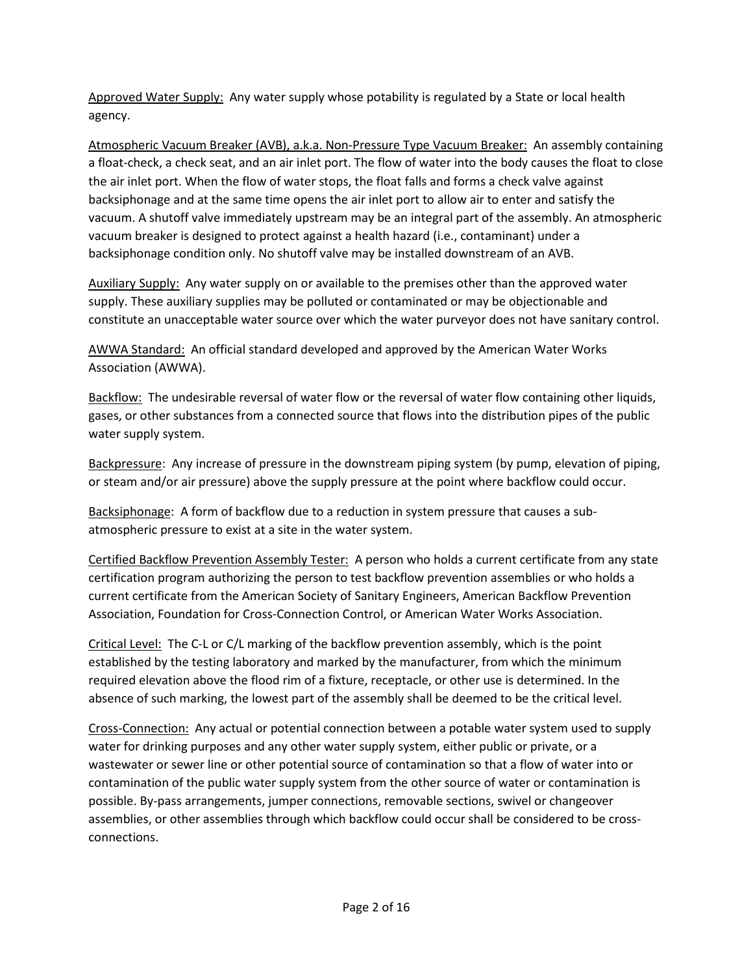Approved Water Supply: Any water supply whose potability is regulated by a State or local health agency.

Atmospheric Vacuum Breaker (AVB), a.k.a. Non-Pressure Type Vacuum Breaker: An assembly containing a float-check, a check seat, and an air inlet port. The flow of water into the body causes the float to close the air inlet port. When the flow of water stops, the float falls and forms a check valve against backsiphonage and at the same time opens the air inlet port to allow air to enter and satisfy the vacuum. A shutoff valve immediately upstream may be an integral part of the assembly. An atmospheric vacuum breaker is designed to protect against a health hazard (i.e., contaminant) under a backsiphonage condition only. No shutoff valve may be installed downstream of an AVB.

Auxiliary Supply: Any water supply on or available to the premises other than the approved water supply. These auxiliary supplies may be polluted or contaminated or may be objectionable and constitute an unacceptable water source over which the water purveyor does not have sanitary control.

AWWA Standard: An official standard developed and approved by the American Water Works Association (AWWA).

Backflow: The undesirable reversal of water flow or the reversal of water flow containing other liquids, gases, or other substances from a connected source that flows into the distribution pipes of the public water supply system.

Backpressure: Any increase of pressure in the downstream piping system (by pump, elevation of piping, or steam and/or air pressure) above the supply pressure at the point where backflow could occur.

Backsiphonage: A form of backflow due to a reduction in system pressure that causes a subatmospheric pressure to exist at a site in the water system.

Certified Backflow Prevention Assembly Tester: A person who holds a current certificate from any state certification program authorizing the person to test backflow prevention assemblies or who holds a current certificate from the American Society of Sanitary Engineers, American Backflow Prevention Association, Foundation for Cross-Connection Control, or American Water Works Association.

Critical Level: The C-L or C/L marking of the backflow prevention assembly, which is the point established by the testing laboratory and marked by the manufacturer, from which the minimum required elevation above the flood rim of a fixture, receptacle, or other use is determined. In the absence of such marking, the lowest part of the assembly shall be deemed to be the critical level.

Cross-Connection: Any actual or potential connection between a potable water system used to supply water for drinking purposes and any other water supply system, either public or private, or a wastewater or sewer line or other potential source of contamination so that a flow of water into or contamination of the public water supply system from the other source of water or contamination is possible. By-pass arrangements, jumper connections, removable sections, swivel or changeover assemblies, or other assemblies through which backflow could occur shall be considered to be crossconnections.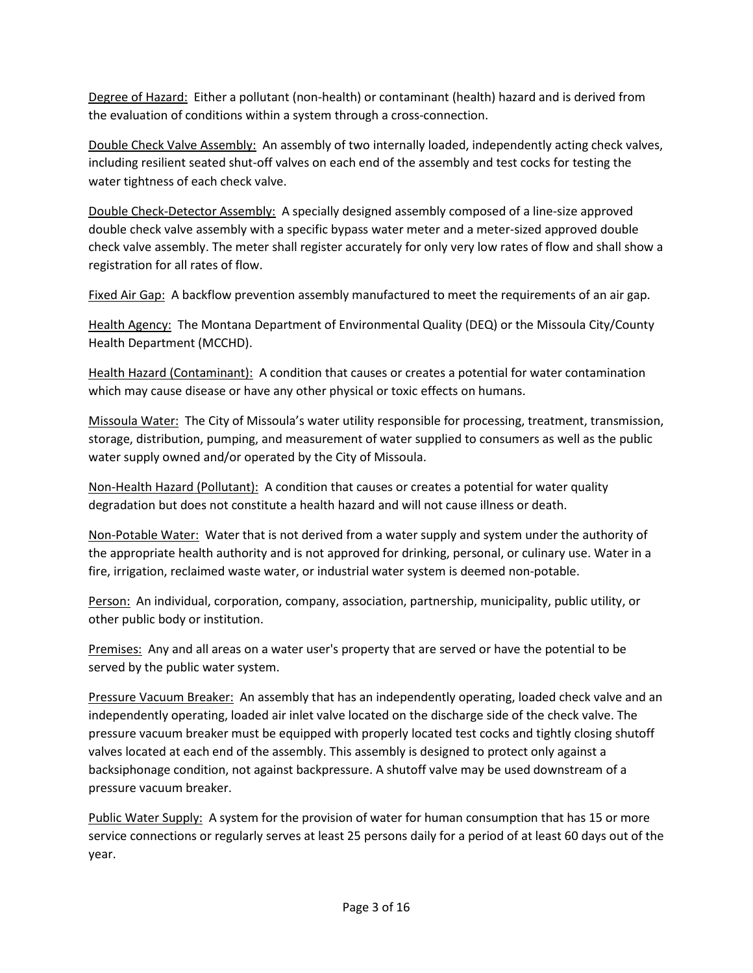Degree of Hazard: Either a pollutant (non-health) or contaminant (health) hazard and is derived from the evaluation of conditions within a system through a cross-connection.

Double Check Valve Assembly: An assembly of two internally loaded, independently acting check valves, including resilient seated shut-off valves on each end of the assembly and test cocks for testing the water tightness of each check valve.

Double Check-Detector Assembly: A specially designed assembly composed of a line-size approved double check valve assembly with a specific bypass water meter and a meter-sized approved double check valve assembly. The meter shall register accurately for only very low rates of flow and shall show a registration for all rates of flow.

Fixed Air Gap: A backflow prevention assembly manufactured to meet the requirements of an air gap.

Health Agency: The Montana Department of Environmental Quality (DEQ) or the Missoula City/County Health Department (MCCHD).

Health Hazard (Contaminant): A condition that causes or creates a potential for water contamination which may cause disease or have any other physical or toxic effects on humans.

Missoula Water: The City of Missoula's water utility responsible for processing, treatment, transmission, storage, distribution, pumping, and measurement of water supplied to consumers as well as the public water supply owned and/or operated by the City of Missoula.

Non-Health Hazard (Pollutant): A condition that causes or creates a potential for water quality degradation but does not constitute a health hazard and will not cause illness or death.

Non-Potable Water: Water that is not derived from a water supply and system under the authority of the appropriate health authority and is not approved for drinking, personal, or culinary use. Water in a fire, irrigation, reclaimed waste water, or industrial water system is deemed non-potable.

Person: An individual, corporation, company, association, partnership, municipality, public utility, or other public body or institution.

Premises: Any and all areas on a water user's property that are served or have the potential to be served by the public water system.

Pressure Vacuum Breaker: An assembly that has an independently operating, loaded check valve and an independently operating, loaded air inlet valve located on the discharge side of the check valve. The pressure vacuum breaker must be equipped with properly located test cocks and tightly closing shutoff valves located at each end of the assembly. This assembly is designed to protect only against a backsiphonage condition, not against backpressure. A shutoff valve may be used downstream of a pressure vacuum breaker.

Public Water Supply: A system for the provision of water for human consumption that has 15 or more service connections or regularly serves at least 25 persons daily for a period of at least 60 days out of the year.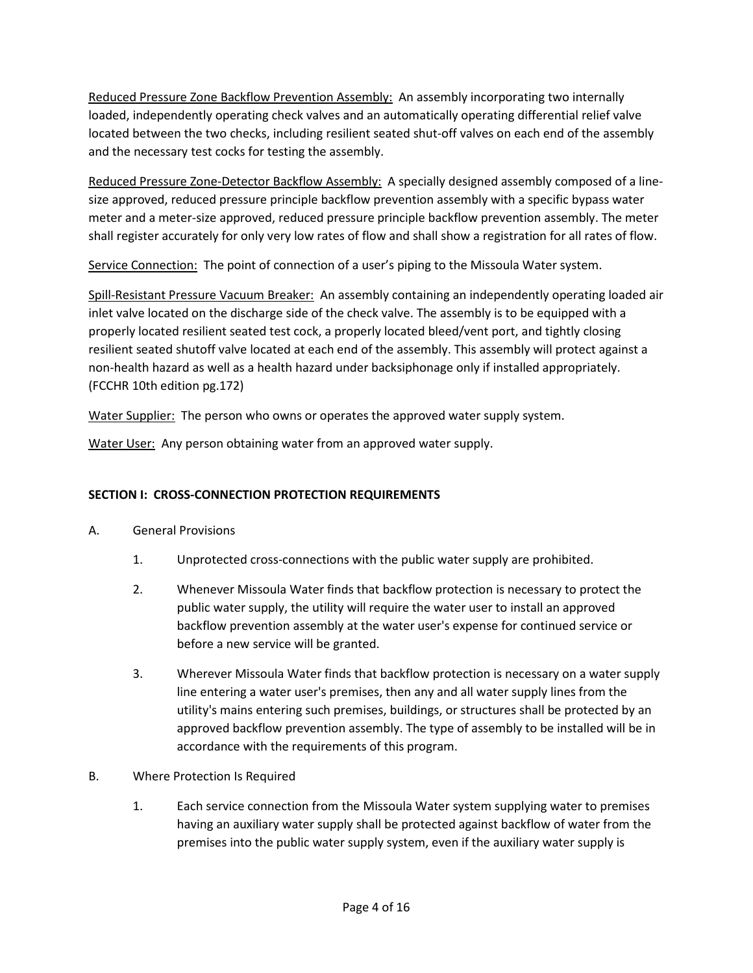Reduced Pressure Zone Backflow Prevention Assembly: An assembly incorporating two internally loaded, independently operating check valves and an automatically operating differential relief valve located between the two checks, including resilient seated shut-off valves on each end of the assembly and the necessary test cocks for testing the assembly.

Reduced Pressure Zone-Detector Backflow Assembly: A specially designed assembly composed of a linesize approved, reduced pressure principle backflow prevention assembly with a specific bypass water meter and a meter-size approved, reduced pressure principle backflow prevention assembly. The meter shall register accurately for only very low rates of flow and shall show a registration for all rates of flow.

Service Connection: The point of connection of a user's piping to the Missoula Water system.

Spill-Resistant Pressure Vacuum Breaker: An assembly containing an independently operating loaded air inlet valve located on the discharge side of the check valve. The assembly is to be equipped with a properly located resilient seated test cock, a properly located bleed/vent port, and tightly closing resilient seated shutoff valve located at each end of the assembly. This assembly will protect against a non-health hazard as well as a health hazard under backsiphonage only if installed appropriately. (FCCHR 10th edition pg.172)

Water Supplier: The person who owns or operates the approved water supply system.

Water User: Any person obtaining water from an approved water supply.

# **SECTION I: CROSS-CONNECTION PROTECTION REQUIREMENTS**

- A. General Provisions
	- 1. Unprotected cross-connections with the public water supply are prohibited.
	- 2. Whenever Missoula Water finds that backflow protection is necessary to protect the public water supply, the utility will require the water user to install an approved backflow prevention assembly at the water user's expense for continued service or before a new service will be granted.
	- 3. Wherever Missoula Water finds that backflow protection is necessary on a water supply line entering a water user's premises, then any and all water supply lines from the utility's mains entering such premises, buildings, or structures shall be protected by an approved backflow prevention assembly. The type of assembly to be installed will be in accordance with the requirements of this program.
- B. Where Protection Is Required
	- 1. Each service connection from the Missoula Water system supplying water to premises having an auxiliary water supply shall be protected against backflow of water from the premises into the public water supply system, even if the auxiliary water supply is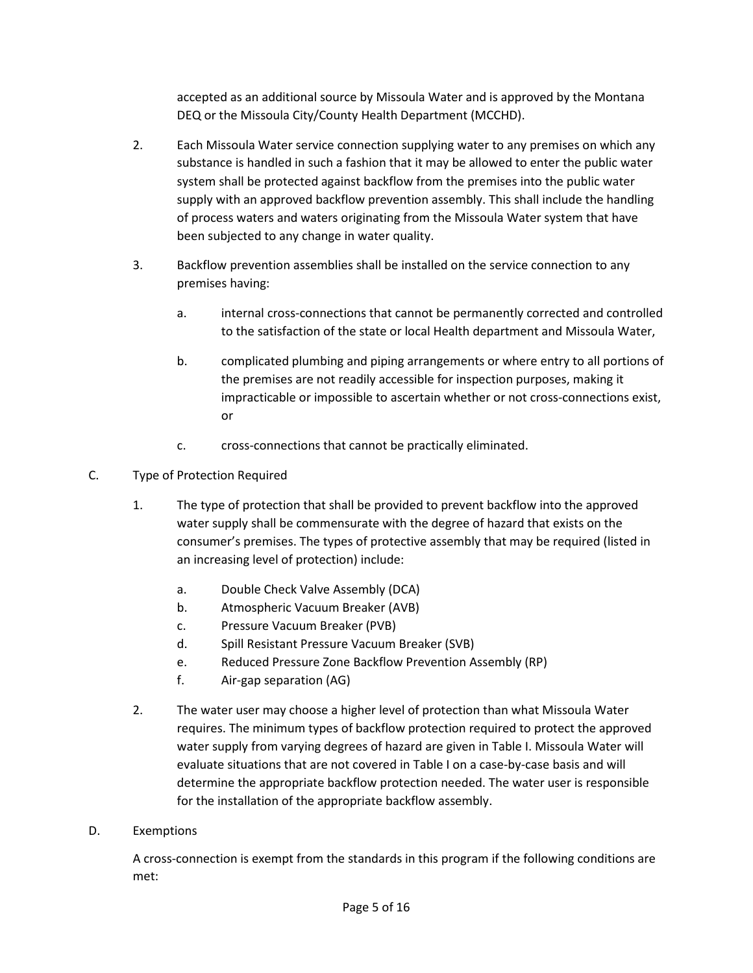accepted as an additional source by Missoula Water and is approved by the Montana DEQ or the Missoula City/County Health Department (MCCHD).

- 2. Each Missoula Water service connection supplying water to any premises on which any substance is handled in such a fashion that it may be allowed to enter the public water system shall be protected against backflow from the premises into the public water supply with an approved backflow prevention assembly. This shall include the handling of process waters and waters originating from the Missoula Water system that have been subjected to any change in water quality.
- 3. Backflow prevention assemblies shall be installed on the service connection to any premises having:
	- a. internal cross-connections that cannot be permanently corrected and controlled to the satisfaction of the state or local Health department and Missoula Water,
	- b. complicated plumbing and piping arrangements or where entry to all portions of the premises are not readily accessible for inspection purposes, making it impracticable or impossible to ascertain whether or not cross-connections exist, or
	- c. cross-connections that cannot be practically eliminated.
- C. Type of Protection Required
	- 1. The type of protection that shall be provided to prevent backflow into the approved water supply shall be commensurate with the degree of hazard that exists on the consumer's premises. The types of protective assembly that may be required (listed in an increasing level of protection) include:
		- a. Double Check Valve Assembly (DCA)
		- b. Atmospheric Vacuum Breaker (AVB)
		- c. Pressure Vacuum Breaker (PVB)
		- d. Spill Resistant Pressure Vacuum Breaker (SVB)
		- e. Reduced Pressure Zone Backflow Prevention Assembly (RP)
		- f. Air-gap separation (AG)
	- 2. The water user may choose a higher level of protection than what Missoula Water requires. The minimum types of backflow protection required to protect the approved water supply from varying degrees of hazard are given in Table I. Missoula Water will evaluate situations that are not covered in Table I on a case-by-case basis and will determine the appropriate backflow protection needed. The water user is responsible for the installation of the appropriate backflow assembly.
- D. Exemptions

A cross-connection is exempt from the standards in this program if the following conditions are met: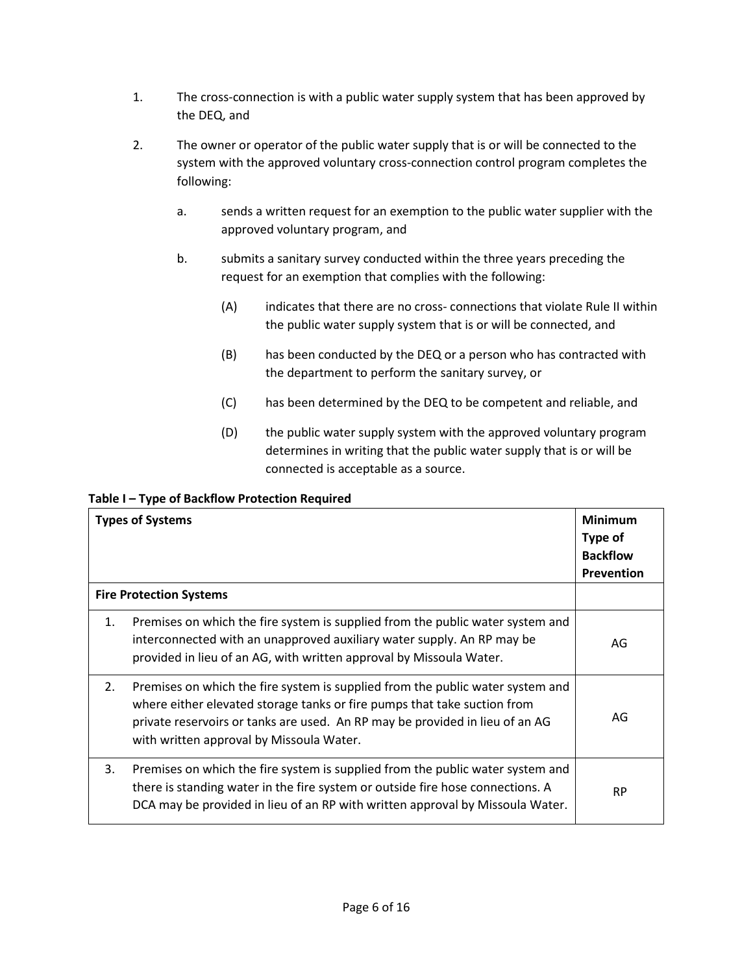- 1. The cross-connection is with a public water supply system that has been approved by the DEQ, and
- 2. The owner or operator of the public water supply that is or will be connected to the system with the approved voluntary cross-connection control program completes the following:
	- a. sends a written request for an exemption to the public water supplier with the approved voluntary program, and
	- b. submits a sanitary survey conducted within the three years preceding the request for an exemption that complies with the following:
		- (A) indicates that there are no cross- connections that violate Rule II within the public water supply system that is or will be connected, and
		- (B) has been conducted by the DEQ or a person who has contracted with the department to perform the sanitary survey, or
		- (C) has been determined by the DEQ to be competent and reliable, and
		- (D) the public water supply system with the approved voluntary program determines in writing that the public water supply that is or will be connected is acceptable as a source.

# **Table I – Type of Backflow Protection Required**

|                                | <b>Types of Systems</b>                                                                                                                                                                                                                                                                | <b>Minimum</b><br>Type of<br><b>Backflow</b><br><b>Prevention</b> |
|--------------------------------|----------------------------------------------------------------------------------------------------------------------------------------------------------------------------------------------------------------------------------------------------------------------------------------|-------------------------------------------------------------------|
| <b>Fire Protection Systems</b> |                                                                                                                                                                                                                                                                                        |                                                                   |
| 1.                             | Premises on which the fire system is supplied from the public water system and<br>interconnected with an unapproved auxiliary water supply. An RP may be<br>provided in lieu of an AG, with written approval by Missoula Water.                                                        | AG                                                                |
| 2.                             | Premises on which the fire system is supplied from the public water system and<br>where either elevated storage tanks or fire pumps that take suction from<br>private reservoirs or tanks are used. An RP may be provided in lieu of an AG<br>with written approval by Missoula Water. | AG                                                                |
| 3.                             | Premises on which the fire system is supplied from the public water system and<br>there is standing water in the fire system or outside fire hose connections. A<br>DCA may be provided in lieu of an RP with written approval by Missoula Water.                                      | <b>RP</b>                                                         |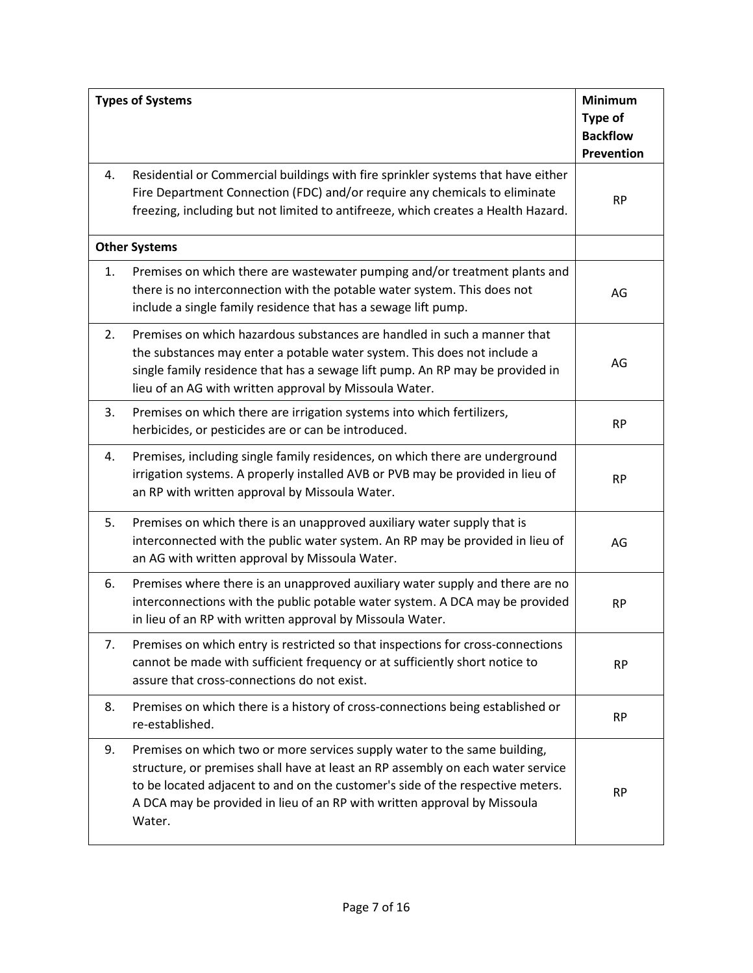| <b>Types of Systems</b> |                                                                                                                                                                                                                                                                                                                                      | <b>Minimum</b><br>Type of<br><b>Backflow</b><br><b>Prevention</b> |
|-------------------------|--------------------------------------------------------------------------------------------------------------------------------------------------------------------------------------------------------------------------------------------------------------------------------------------------------------------------------------|-------------------------------------------------------------------|
| 4.                      | Residential or Commercial buildings with fire sprinkler systems that have either<br>Fire Department Connection (FDC) and/or require any chemicals to eliminate<br>freezing, including but not limited to antifreeze, which creates a Health Hazard.                                                                                  | <b>RP</b>                                                         |
| <b>Other Systems</b>    |                                                                                                                                                                                                                                                                                                                                      |                                                                   |
| 1.                      | Premises on which there are wastewater pumping and/or treatment plants and<br>there is no interconnection with the potable water system. This does not<br>include a single family residence that has a sewage lift pump.                                                                                                             | AG                                                                |
| 2.                      | Premises on which hazardous substances are handled in such a manner that<br>the substances may enter a potable water system. This does not include a<br>single family residence that has a sewage lift pump. An RP may be provided in<br>lieu of an AG with written approval by Missoula Water.                                      | AG                                                                |
| 3.                      | Premises on which there are irrigation systems into which fertilizers,<br>herbicides, or pesticides are or can be introduced.                                                                                                                                                                                                        | <b>RP</b>                                                         |
| 4.                      | Premises, including single family residences, on which there are underground<br>irrigation systems. A properly installed AVB or PVB may be provided in lieu of<br>an RP with written approval by Missoula Water.                                                                                                                     | <b>RP</b>                                                         |
| 5.                      | Premises on which there is an unapproved auxiliary water supply that is<br>interconnected with the public water system. An RP may be provided in lieu of<br>an AG with written approval by Missoula Water.                                                                                                                           | AG                                                                |
| 6.                      | Premises where there is an unapproved auxiliary water supply and there are no<br>interconnections with the public potable water system. A DCA may be provided<br>in lieu of an RP with written approval by Missoula Water.                                                                                                           | <b>RP</b>                                                         |
| 7.                      | Premises on which entry is restricted so that inspections for cross-connections<br>cannot be made with sufficient frequency or at sufficiently short notice to<br>assure that cross-connections do not exist.                                                                                                                        | <b>RP</b>                                                         |
| 8.                      | Premises on which there is a history of cross-connections being established or<br>re-established.                                                                                                                                                                                                                                    | <b>RP</b>                                                         |
| 9.                      | Premises on which two or more services supply water to the same building,<br>structure, or premises shall have at least an RP assembly on each water service<br>to be located adjacent to and on the customer's side of the respective meters.<br>A DCA may be provided in lieu of an RP with written approval by Missoula<br>Water. | <b>RP</b>                                                         |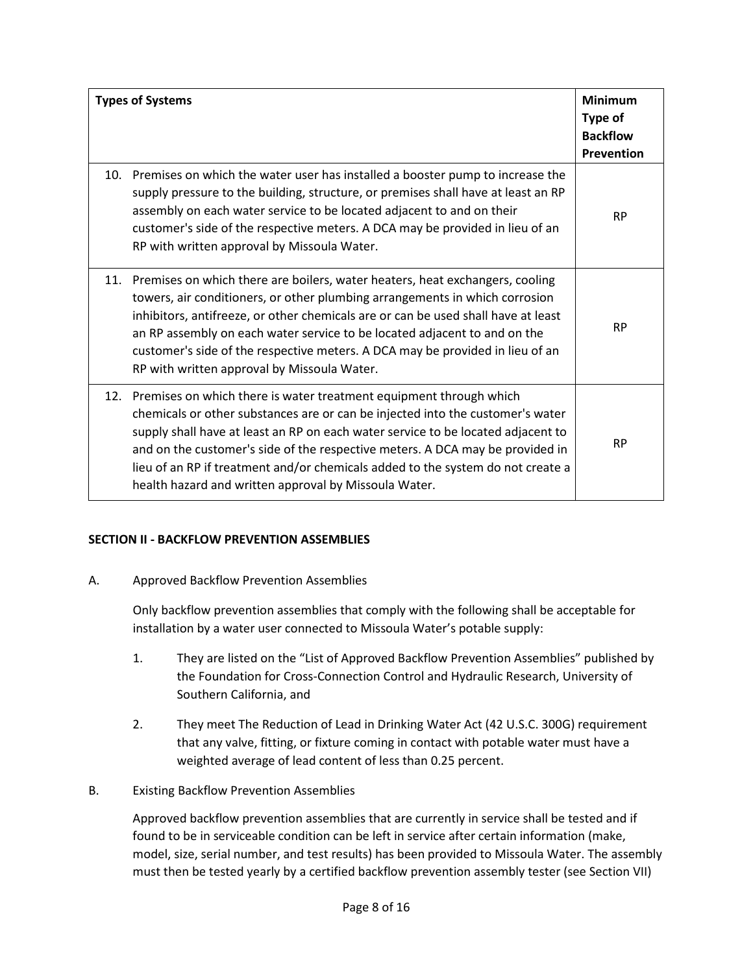| <b>Types of Systems</b> |                                                                                                                                                                                                                                                                                                                                                                                                                                                                           | <b>Minimum</b><br>Type of<br><b>Backflow</b><br>Prevention |
|-------------------------|---------------------------------------------------------------------------------------------------------------------------------------------------------------------------------------------------------------------------------------------------------------------------------------------------------------------------------------------------------------------------------------------------------------------------------------------------------------------------|------------------------------------------------------------|
|                         | 10. Premises on which the water user has installed a booster pump to increase the<br>supply pressure to the building, structure, or premises shall have at least an RP<br>assembly on each water service to be located adjacent to and on their<br>customer's side of the respective meters. A DCA may be provided in lieu of an<br>RP with written approval by Missoula Water.                                                                                           | <b>RP</b>                                                  |
|                         | 11. Premises on which there are boilers, water heaters, heat exchangers, cooling<br>towers, air conditioners, or other plumbing arrangements in which corrosion<br>inhibitors, antifreeze, or other chemicals are or can be used shall have at least<br>an RP assembly on each water service to be located adjacent to and on the<br>customer's side of the respective meters. A DCA may be provided in lieu of an<br>RP with written approval by Missoula Water.         | <b>RP</b>                                                  |
|                         | 12. Premises on which there is water treatment equipment through which<br>chemicals or other substances are or can be injected into the customer's water<br>supply shall have at least an RP on each water service to be located adjacent to<br>and on the customer's side of the respective meters. A DCA may be provided in<br>lieu of an RP if treatment and/or chemicals added to the system do not create a<br>health hazard and written approval by Missoula Water. | <b>RP</b>                                                  |

## **SECTION II - BACKFLOW PREVENTION ASSEMBLIES**

A. Approved Backflow Prevention Assemblies

Only backflow prevention assemblies that comply with the following shall be acceptable for installation by a water user connected to Missoula Water's potable supply:

- 1. They are listed on the "List of Approved Backflow Prevention Assemblies" published by the Foundation for Cross-Connection Control and Hydraulic Research, University of Southern California, and
- 2. They meet The Reduction of Lead in Drinking Water Act (42 U.S.C. 300G) requirement that any valve, fitting, or fixture coming in contact with potable water must have a weighted average of lead content of less than 0.25 percent.

## B. Existing Backflow Prevention Assemblies

Approved backflow prevention assemblies that are currently in service shall be tested and if found to be in serviceable condition can be left in service after certain information (make, model, size, serial number, and test results) has been provided to Missoula Water. The assembly must then be tested yearly by a certified backflow prevention assembly tester (see Section VII)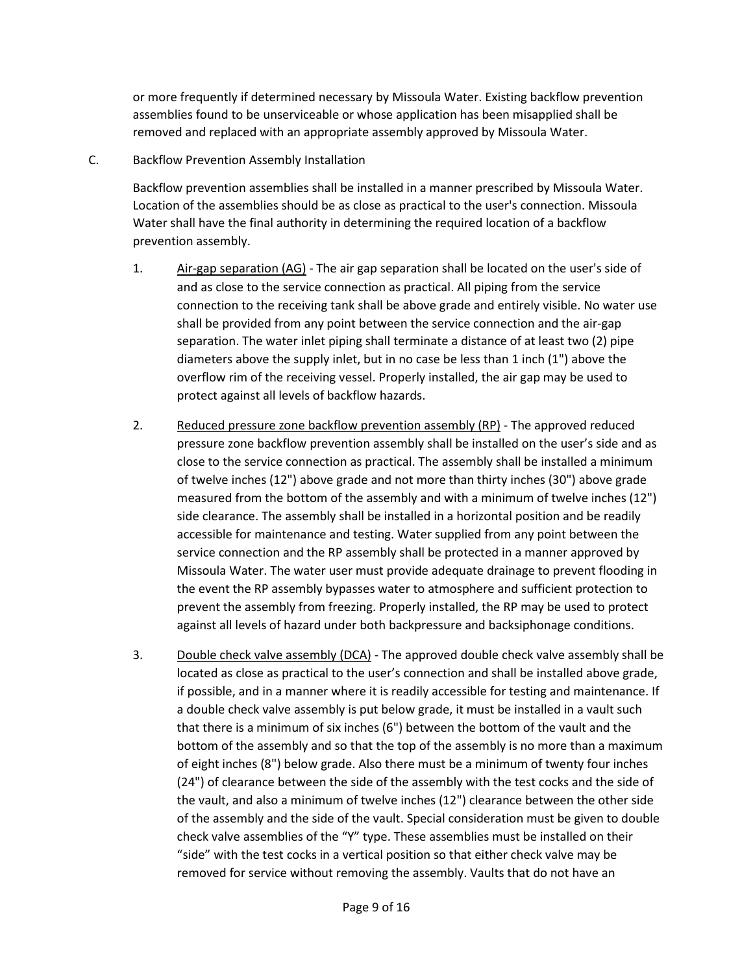or more frequently if determined necessary by Missoula Water. Existing backflow prevention assemblies found to be unserviceable or whose application has been misapplied shall be removed and replaced with an appropriate assembly approved by Missoula Water.

### C. Backflow Prevention Assembly Installation

Backflow prevention assemblies shall be installed in a manner prescribed by Missoula Water. Location of the assemblies should be as close as practical to the user's connection. Missoula Water shall have the final authority in determining the required location of a backflow prevention assembly.

- 1. Air-gap separation (AG) The air gap separation shall be located on the user's side of and as close to the service connection as practical. All piping from the service connection to the receiving tank shall be above grade and entirely visible. No water use shall be provided from any point between the service connection and the air-gap separation. The water inlet piping shall terminate a distance of at least two (2) pipe diameters above the supply inlet, but in no case be less than 1 inch (1") above the overflow rim of the receiving vessel. Properly installed, the air gap may be used to protect against all levels of backflow hazards.
- 2. Reduced pressure zone backflow prevention assembly (RP) The approved reduced pressure zone backflow prevention assembly shall be installed on the user's side and as close to the service connection as practical. The assembly shall be installed a minimum of twelve inches (12") above grade and not more than thirty inches (30") above grade measured from the bottom of the assembly and with a minimum of twelve inches (12") side clearance. The assembly shall be installed in a horizontal position and be readily accessible for maintenance and testing. Water supplied from any point between the service connection and the RP assembly shall be protected in a manner approved by Missoula Water. The water user must provide adequate drainage to prevent flooding in the event the RP assembly bypasses water to atmosphere and sufficient protection to prevent the assembly from freezing. Properly installed, the RP may be used to protect against all levels of hazard under both backpressure and backsiphonage conditions.
- 3. Double check valve assembly (DCA) The approved double check valve assembly shall be located as close as practical to the user's connection and shall be installed above grade, if possible, and in a manner where it is readily accessible for testing and maintenance. If a double check valve assembly is put below grade, it must be installed in a vault such that there is a minimum of six inches (6") between the bottom of the vault and the bottom of the assembly and so that the top of the assembly is no more than a maximum of eight inches (8") below grade. Also there must be a minimum of twenty four inches (24") of clearance between the side of the assembly with the test cocks and the side of the vault, and also a minimum of twelve inches (12") clearance between the other side of the assembly and the side of the vault. Special consideration must be given to double check valve assemblies of the "Y" type. These assemblies must be installed on their "side" with the test cocks in a vertical position so that either check valve may be removed for service without removing the assembly. Vaults that do not have an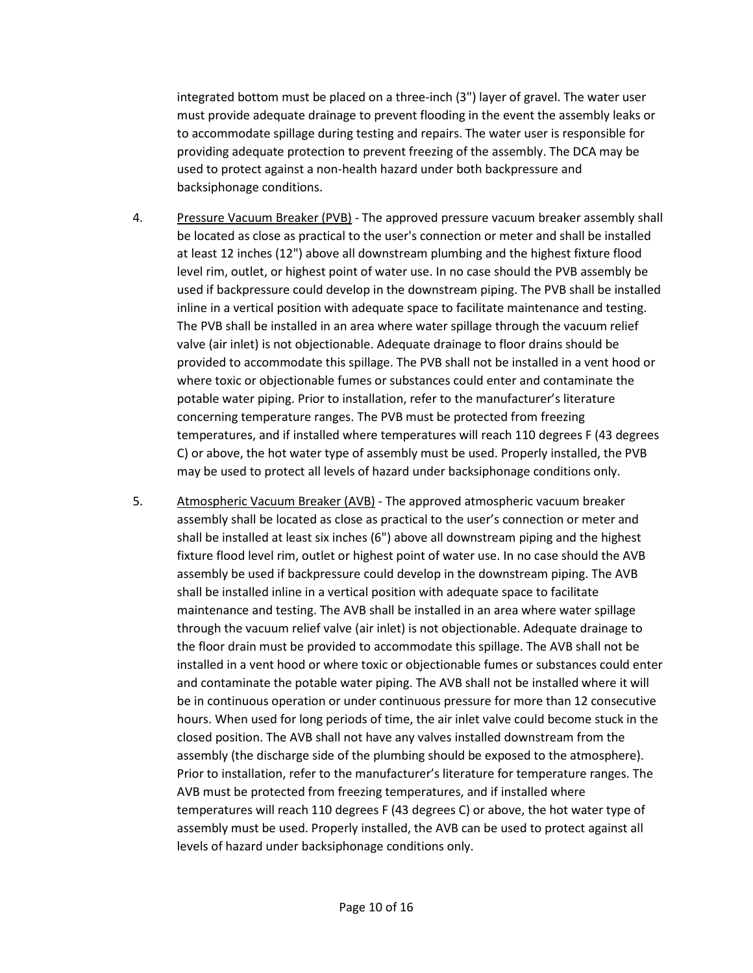integrated bottom must be placed on a three-inch (3") layer of gravel. The water user must provide adequate drainage to prevent flooding in the event the assembly leaks or to accommodate spillage during testing and repairs. The water user is responsible for providing adequate protection to prevent freezing of the assembly. The DCA may be used to protect against a non-health hazard under both backpressure and backsiphonage conditions.

- 4. Pressure Vacuum Breaker (PVB) The approved pressure vacuum breaker assembly shall be located as close as practical to the user's connection or meter and shall be installed at least 12 inches (12") above all downstream plumbing and the highest fixture flood level rim, outlet, or highest point of water use. In no case should the PVB assembly be used if backpressure could develop in the downstream piping. The PVB shall be installed inline in a vertical position with adequate space to facilitate maintenance and testing. The PVB shall be installed in an area where water spillage through the vacuum relief valve (air inlet) is not objectionable. Adequate drainage to floor drains should be provided to accommodate this spillage. The PVB shall not be installed in a vent hood or where toxic or objectionable fumes or substances could enter and contaminate the potable water piping. Prior to installation, refer to the manufacturer's literature concerning temperature ranges. The PVB must be protected from freezing temperatures, and if installed where temperatures will reach 110 degrees F (43 degrees C) or above, the hot water type of assembly must be used. Properly installed, the PVB may be used to protect all levels of hazard under backsiphonage conditions only.
- 5. Atmospheric Vacuum Breaker (AVB) The approved atmospheric vacuum breaker assembly shall be located as close as practical to the user's connection or meter and shall be installed at least six inches (6") above all downstream piping and the highest fixture flood level rim, outlet or highest point of water use. In no case should the AVB assembly be used if backpressure could develop in the downstream piping. The AVB shall be installed inline in a vertical position with adequate space to facilitate maintenance and testing. The AVB shall be installed in an area where water spillage through the vacuum relief valve (air inlet) is not objectionable. Adequate drainage to the floor drain must be provided to accommodate this spillage. The AVB shall not be installed in a vent hood or where toxic or objectionable fumes or substances could enter and contaminate the potable water piping. The AVB shall not be installed where it will be in continuous operation or under continuous pressure for more than 12 consecutive hours. When used for long periods of time, the air inlet valve could become stuck in the closed position. The AVB shall not have any valves installed downstream from the assembly (the discharge side of the plumbing should be exposed to the atmosphere). Prior to installation, refer to the manufacturer's literature for temperature ranges. The AVB must be protected from freezing temperatures, and if installed where temperatures will reach 110 degrees F (43 degrees C) or above, the hot water type of assembly must be used. Properly installed, the AVB can be used to protect against all levels of hazard under backsiphonage conditions only.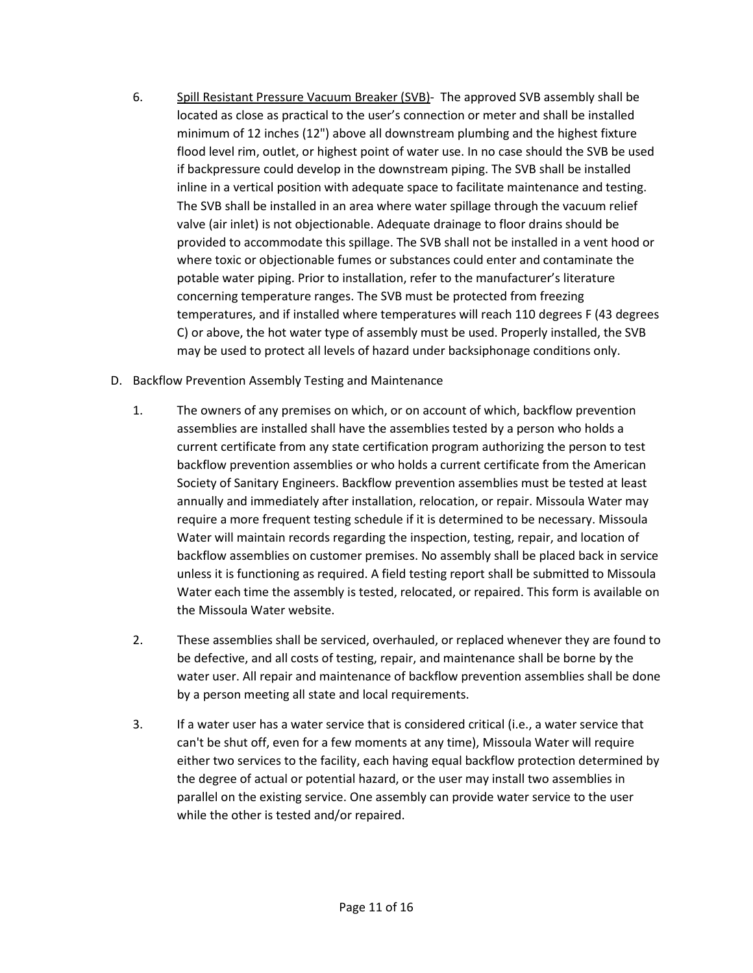- 6. Spill Resistant Pressure Vacuum Breaker (SVB)- The approved SVB assembly shall be located as close as practical to the user's connection or meter and shall be installed minimum of 12 inches (12") above all downstream plumbing and the highest fixture flood level rim, outlet, or highest point of water use. In no case should the SVB be used if backpressure could develop in the downstream piping. The SVB shall be installed inline in a vertical position with adequate space to facilitate maintenance and testing. The SVB shall be installed in an area where water spillage through the vacuum relief valve (air inlet) is not objectionable. Adequate drainage to floor drains should be provided to accommodate this spillage. The SVB shall not be installed in a vent hood or where toxic or objectionable fumes or substances could enter and contaminate the potable water piping. Prior to installation, refer to the manufacturer's literature concerning temperature ranges. The SVB must be protected from freezing temperatures, and if installed where temperatures will reach 110 degrees F (43 degrees C) or above, the hot water type of assembly must be used. Properly installed, the SVB may be used to protect all levels of hazard under backsiphonage conditions only.
- D. Backflow Prevention Assembly Testing and Maintenance
	- 1. The owners of any premises on which, or on account of which, backflow prevention assemblies are installed shall have the assemblies tested by a person who holds a current certificate from any state certification program authorizing the person to test backflow prevention assemblies or who holds a current certificate from the American Society of Sanitary Engineers. Backflow prevention assemblies must be tested at least annually and immediately after installation, relocation, or repair. Missoula Water may require a more frequent testing schedule if it is determined to be necessary. Missoula Water will maintain records regarding the inspection, testing, repair, and location of backflow assemblies on customer premises. No assembly shall be placed back in service unless it is functioning as required. A field testing report shall be submitted to Missoula Water each time the assembly is tested, relocated, or repaired. This form is available on the Missoula Water website.
	- 2. These assemblies shall be serviced, overhauled, or replaced whenever they are found to be defective, and all costs of testing, repair, and maintenance shall be borne by the water user. All repair and maintenance of backflow prevention assemblies shall be done by a person meeting all state and local requirements.
	- 3. If a water user has a water service that is considered critical (i.e., a water service that can't be shut off, even for a few moments at any time), Missoula Water will require either two services to the facility, each having equal backflow protection determined by the degree of actual or potential hazard, or the user may install two assemblies in parallel on the existing service. One assembly can provide water service to the user while the other is tested and/or repaired.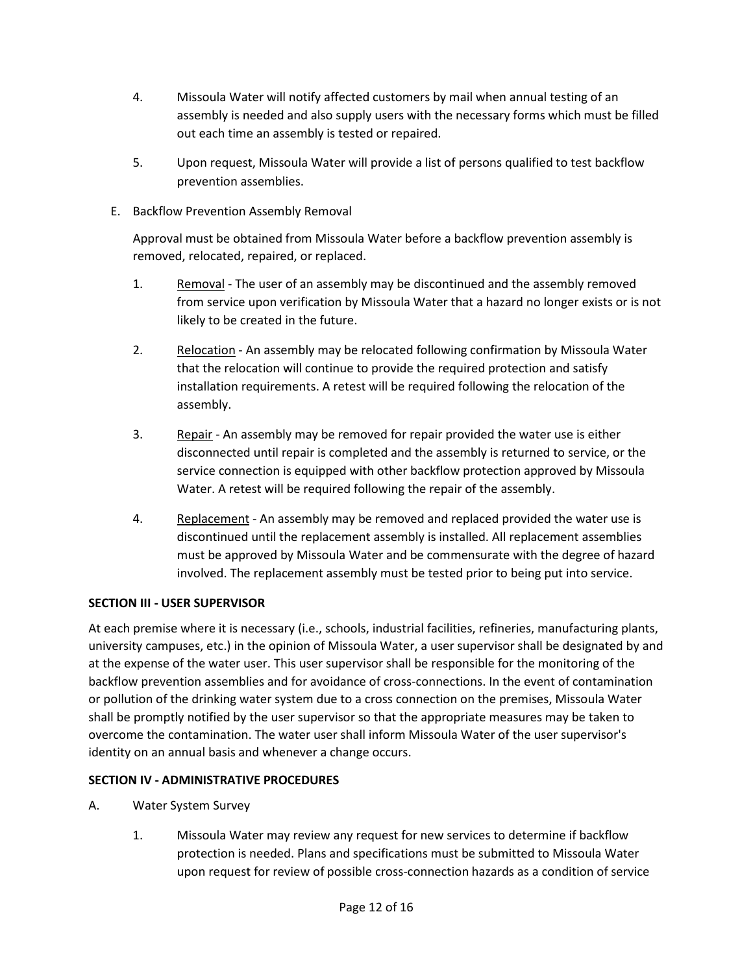- 4. Missoula Water will notify affected customers by mail when annual testing of an assembly is needed and also supply users with the necessary forms which must be filled out each time an assembly is tested or repaired.
- 5. Upon request, Missoula Water will provide a list of persons qualified to test backflow prevention assemblies.
- E. Backflow Prevention Assembly Removal

Approval must be obtained from Missoula Water before a backflow prevention assembly is removed, relocated, repaired, or replaced.

- 1. Removal The user of an assembly may be discontinued and the assembly removed from service upon verification by Missoula Water that a hazard no longer exists or is not likely to be created in the future.
- 2. Relocation An assembly may be relocated following confirmation by Missoula Water that the relocation will continue to provide the required protection and satisfy installation requirements. A retest will be required following the relocation of the assembly.
- 3. Repair An assembly may be removed for repair provided the water use is either disconnected until repair is completed and the assembly is returned to service, or the service connection is equipped with other backflow protection approved by Missoula Water. A retest will be required following the repair of the assembly.
- 4. Replacement An assembly may be removed and replaced provided the water use is discontinued until the replacement assembly is installed. All replacement assemblies must be approved by Missoula Water and be commensurate with the degree of hazard involved. The replacement assembly must be tested prior to being put into service.

# **SECTION III - USER SUPERVISOR**

At each premise where it is necessary (i.e., schools, industrial facilities, refineries, manufacturing plants, university campuses, etc.) in the opinion of Missoula Water, a user supervisor shall be designated by and at the expense of the water user. This user supervisor shall be responsible for the monitoring of the backflow prevention assemblies and for avoidance of cross-connections. In the event of contamination or pollution of the drinking water system due to a cross connection on the premises, Missoula Water shall be promptly notified by the user supervisor so that the appropriate measures may be taken to overcome the contamination. The water user shall inform Missoula Water of the user supervisor's identity on an annual basis and whenever a change occurs.

# **SECTION IV - ADMINISTRATIVE PROCEDURES**

- A. Water System Survey
	- 1. Missoula Water may review any request for new services to determine if backflow protection is needed. Plans and specifications must be submitted to Missoula Water upon request for review of possible cross-connection hazards as a condition of service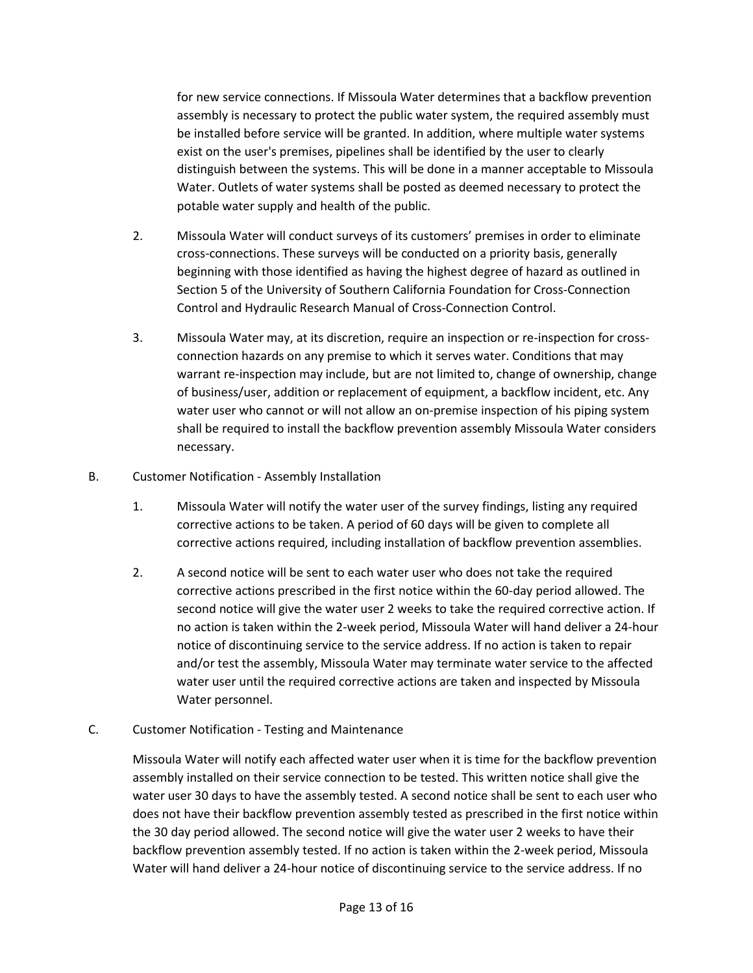for new service connections. If Missoula Water determines that a backflow prevention assembly is necessary to protect the public water system, the required assembly must be installed before service will be granted. In addition, where multiple water systems exist on the user's premises, pipelines shall be identified by the user to clearly distinguish between the systems. This will be done in a manner acceptable to Missoula Water. Outlets of water systems shall be posted as deemed necessary to protect the potable water supply and health of the public.

- 2. Missoula Water will conduct surveys of its customers' premises in order to eliminate cross-connections. These surveys will be conducted on a priority basis, generally beginning with those identified as having the highest degree of hazard as outlined in Section 5 of the University of Southern California Foundation for Cross-Connection Control and Hydraulic Research Manual of Cross-Connection Control.
- 3. Missoula Water may, at its discretion, require an inspection or re-inspection for crossconnection hazards on any premise to which it serves water. Conditions that may warrant re-inspection may include, but are not limited to, change of ownership, change of business/user, addition or replacement of equipment, a backflow incident, etc. Any water user who cannot or will not allow an on-premise inspection of his piping system shall be required to install the backflow prevention assembly Missoula Water considers necessary.
- B. Customer Notification Assembly Installation
	- 1. Missoula Water will notify the water user of the survey findings, listing any required corrective actions to be taken. A period of 60 days will be given to complete all corrective actions required, including installation of backflow prevention assemblies.
	- 2. A second notice will be sent to each water user who does not take the required corrective actions prescribed in the first notice within the 60-day period allowed. The second notice will give the water user 2 weeks to take the required corrective action. If no action is taken within the 2-week period, Missoula Water will hand deliver a 24-hour notice of discontinuing service to the service address. If no action is taken to repair and/or test the assembly, Missoula Water may terminate water service to the affected water user until the required corrective actions are taken and inspected by Missoula Water personnel.
- C. Customer Notification Testing and Maintenance

Missoula Water will notify each affected water user when it is time for the backflow prevention assembly installed on their service connection to be tested. This written notice shall give the water user 30 days to have the assembly tested. A second notice shall be sent to each user who does not have their backflow prevention assembly tested as prescribed in the first notice within the 30 day period allowed. The second notice will give the water user 2 weeks to have their backflow prevention assembly tested. If no action is taken within the 2-week period, Missoula Water will hand deliver a 24-hour notice of discontinuing service to the service address. If no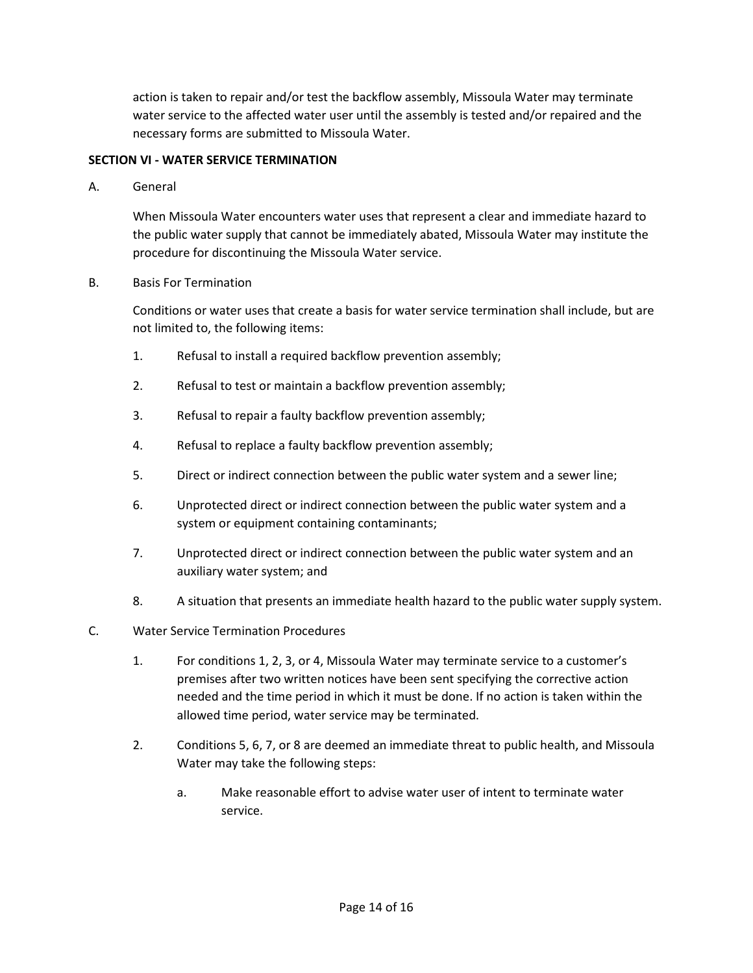action is taken to repair and/or test the backflow assembly, Missoula Water may terminate water service to the affected water user until the assembly is tested and/or repaired and the necessary forms are submitted to Missoula Water.

## **SECTION VI - WATER SERVICE TERMINATION**

A. General

When Missoula Water encounters water uses that represent a clear and immediate hazard to the public water supply that cannot be immediately abated, Missoula Water may institute the procedure for discontinuing the Missoula Water service.

B. Basis For Termination

Conditions or water uses that create a basis for water service termination shall include, but are not limited to, the following items:

- 1. Refusal to install a required backflow prevention assembly;
- 2. Refusal to test or maintain a backflow prevention assembly;
- 3. Refusal to repair a faulty backflow prevention assembly;
- 4. Refusal to replace a faulty backflow prevention assembly;
- 5. Direct or indirect connection between the public water system and a sewer line;
- 6. Unprotected direct or indirect connection between the public water system and a system or equipment containing contaminants;
- 7. Unprotected direct or indirect connection between the public water system and an auxiliary water system; and
- 8. A situation that presents an immediate health hazard to the public water supply system.
- C. Water Service Termination Procedures
	- 1. For conditions 1, 2, 3, or 4, Missoula Water may terminate service to a customer's premises after two written notices have been sent specifying the corrective action needed and the time period in which it must be done. If no action is taken within the allowed time period, water service may be terminated.
	- 2. Conditions 5, 6, 7, or 8 are deemed an immediate threat to public health, and Missoula Water may take the following steps:
		- a. Make reasonable effort to advise water user of intent to terminate water service.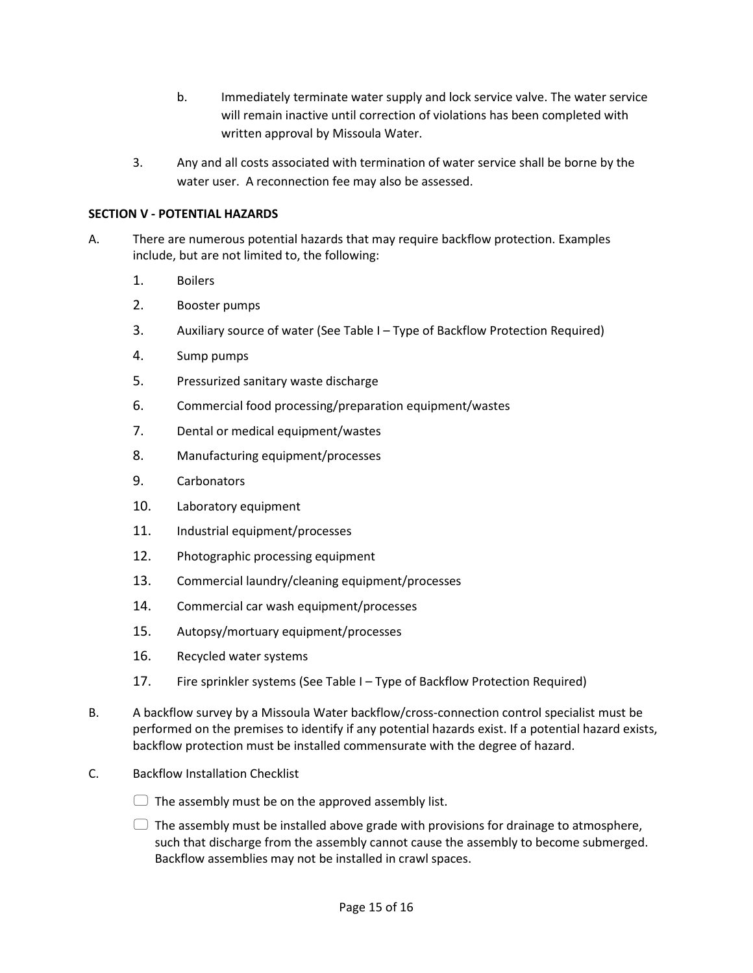- b. Immediately terminate water supply and lock service valve. The water service will remain inactive until correction of violations has been completed with written approval by Missoula Water.
- 3. Any and all costs associated with termination of water service shall be borne by the water user. A reconnection fee may also be assessed.

### **SECTION V - POTENTIAL HAZARDS**

- A. There are numerous potential hazards that may require backflow protection. Examples include, but are not limited to, the following:
	- 1. Boilers
	- 2. Booster pumps
	- 3. Auxiliary source of water (See Table I Type of Backflow Protection Required)
	- 4. Sump pumps
	- 5. Pressurized sanitary waste discharge
	- 6. Commercial food processing/preparation equipment/wastes
	- 7. Dental or medical equipment/wastes
	- 8. Manufacturing equipment/processes
	- 9. Carbonators
	- 10. Laboratory equipment
	- 11. Industrial equipment/processes
	- 12. Photographic processing equipment
	- 13. Commercial laundry/cleaning equipment/processes
	- 14. Commercial car wash equipment/processes
	- 15. Autopsy/mortuary equipment/processes
	- 16. Recycled water systems
	- 17. Fire sprinkler systems (See Table I Type of Backflow Protection Required)
- B. A backflow survey by a Missoula Water backflow/cross-connection control specialist must be performed on the premises to identify if any potential hazards exist. If a potential hazard exists, backflow protection must be installed commensurate with the degree of hazard.
- C. Backflow Installation Checklist
	- $\Box$  The assembly must be on the approved assembly list.
	- $\Box$  The assembly must be installed above grade with provisions for drainage to atmosphere, such that discharge from the assembly cannot cause the assembly to become submerged. Backflow assemblies may not be installed in crawl spaces.